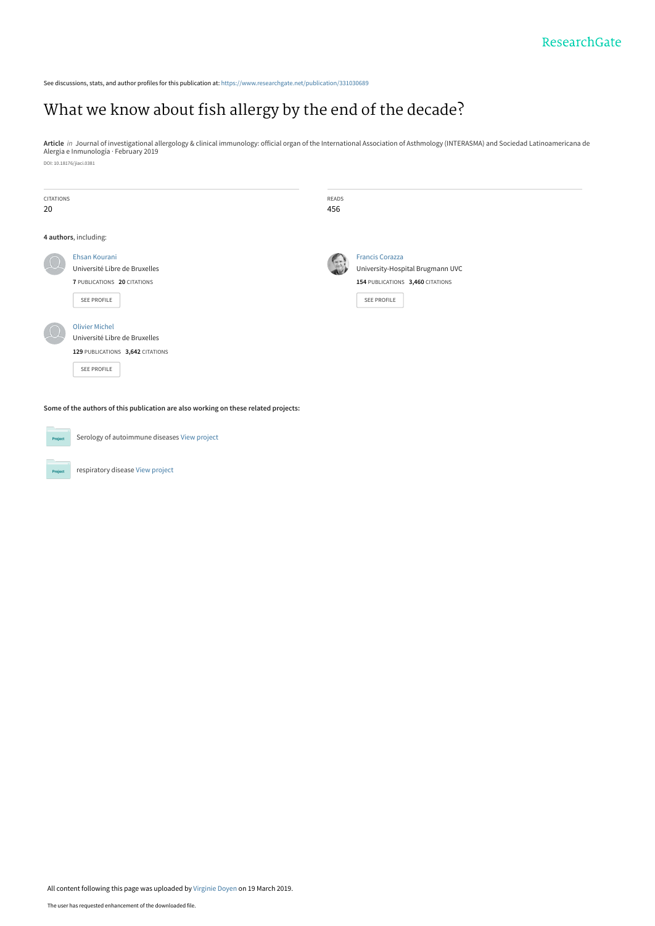See discussions, stats, and author profiles for this publication at: [https://www.researchgate.net/publication/331030689](https://www.researchgate.net/publication/331030689_What_we_know_about_fish_allergy_by_the_end_of_the_decade?enrichId=rgreq-a29090fcb95c0ac7f1e73ee169af2d4b-XXX&enrichSource=Y292ZXJQYWdlOzMzMTAzMDY4OTtBUzo3MzgxOTg4Nzk3NDQwMDJAMTU1MzAxMTczNjcwMg%3D%3D&el=1_x_2&_esc=publicationCoverPdf)

# [What we know about fish allergy by the end of the decade?](https://www.researchgate.net/publication/331030689_What_we_know_about_fish_allergy_by_the_end_of_the_decade?enrichId=rgreq-a29090fcb95c0ac7f1e73ee169af2d4b-XXX&enrichSource=Y292ZXJQYWdlOzMzMTAzMDY4OTtBUzo3MzgxOTg4Nzk3NDQwMDJAMTU1MzAxMTczNjcwMg%3D%3D&el=1_x_3&_esc=publicationCoverPdf)

**Article** *in* Journal of investigational allergology & clinical immunology: official organ of the International Association of Asthmology (INTERASMA) and Sociedad Latinoamericana de<br>Alergia e Inmunología · February 2019 DOI: 10.18176/jiaci.0381

| <b>CITATIONS</b><br>20 |                                                                                                           | <b>READS</b><br>456 |                                                                                                               |
|------------------------|-----------------------------------------------------------------------------------------------------------|---------------------|---------------------------------------------------------------------------------------------------------------|
|                        | 4 authors, including:                                                                                     |                     |                                                                                                               |
|                        | Ehsan Kourani<br>Université Libre de Bruxelles<br>7 PUBLICATIONS 20 CITATIONS<br>SEE PROFILE              |                     | <b>Francis Corazza</b><br>University-Hospital Brugmann UVC<br>154 PUBLICATIONS 3,460 CITATIONS<br>SEE PROFILE |
|                        | <b>Olivier Michel</b><br>Université Libre de Bruxelles<br>129 PUBLICATIONS 3,642 CITATIONS<br>SEE PROFILE |                     |                                                                                                               |

**Some of the authors of this publication are also working on these related projects:**



Serology of autoimmune diseases [View project](https://www.researchgate.net/project/Serology-of-autoimmune-diseases?enrichId=rgreq-a29090fcb95c0ac7f1e73ee169af2d4b-XXX&enrichSource=Y292ZXJQYWdlOzMzMTAzMDY4OTtBUzo3MzgxOTg4Nzk3NDQwMDJAMTU1MzAxMTczNjcwMg%3D%3D&el=1_x_9&_esc=publicationCoverPdf)

respiratory disease [View project](https://www.researchgate.net/project/respiratory-disease-2?enrichId=rgreq-a29090fcb95c0ac7f1e73ee169af2d4b-XXX&enrichSource=Y292ZXJQYWdlOzMzMTAzMDY4OTtBUzo3MzgxOTg4Nzk3NDQwMDJAMTU1MzAxMTczNjcwMg%3D%3D&el=1_x_9&_esc=publicationCoverPdf)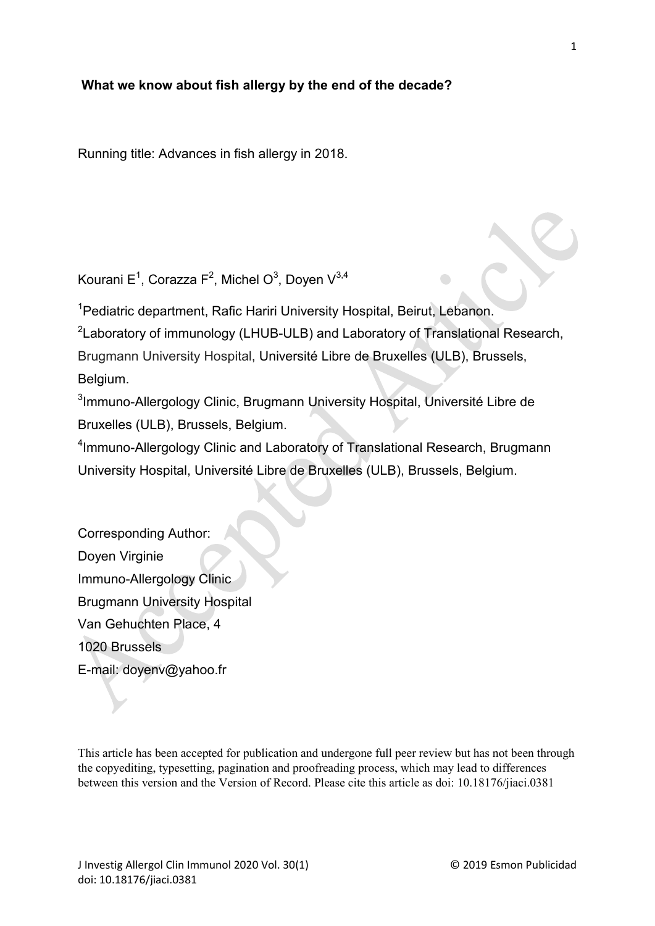# **What we know about fish allergy by the end of the decade?**

Running title: Advances in fish allergy in 2018.

Kourani E $^1$ , Corazza F $^2$ , Michel O $^3$ , Doyen V $^{3,4}$ 

<sup>1</sup> Pediatric department, Rafic Hariri University Hospital, Beirut, Lebanon.

 ${}^{2}$ Laboratory of immunology (LHUB-ULB) and Laboratory of Translational Research,

Brugmann University Hospital, Université Libre de Bruxelles (ULB), Brussels, Belgium.

 ${}^{3}$ Immuno-Allergology Clinic, Brugmann University Hospital, Université Libre de Bruxelles (ULB), Brussels, Belgium.

4 Immuno-Allergology Clinic and Laboratory of Translational Research, Brugmann University Hospital, Université Libre de Bruxelles (ULB), Brussels, Belgium.

Corresponding Author: Doyen Virginie Immuno-Allergology Clinic Brugmann University Hospital Van Gehuchten Place, 4 1020 Brussels E-mail: doyenv@yahoo.fr

This article has been accepted for publication and undergone full peer review but has not been through the copyediting, typesetting, pagination and proofreading process, which may lead to differences between this version and the Version of Record. Please cite this article as doi: 10.18176/jiaci.0381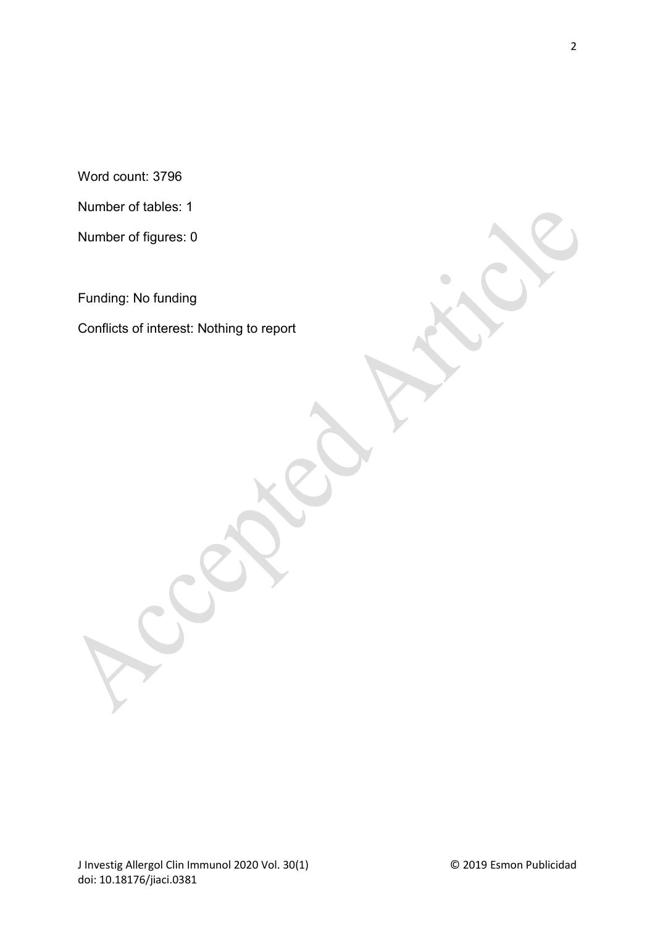Word count: 3796

Number of tables: 1

Number of figures: 0

Funding: No funding

Conflicts of interest: Nothing to report

 $\bigcirc$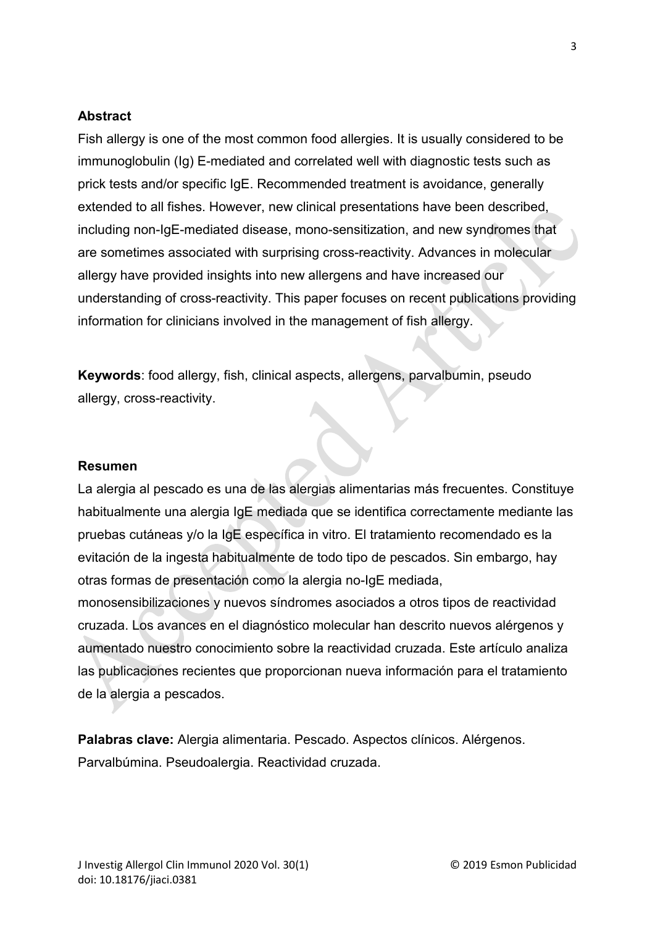## **Abstract**

Fish allergy is one of the most common food allergies. It is usually considered to be immunoglobulin (Ig) E-mediated and correlated well with diagnostic tests such as prick tests and/or specific IgE. Recommended treatment is avoidance, generally extended to all fishes. However, new clinical presentations have been described, including non-IgE-mediated disease, mono-sensitization, and new syndromes that are sometimes associated with surprising cross-reactivity. Advances in molecular allergy have provided insights into new allergens and have increased our understanding of cross-reactivity. This paper focuses on recent publications providing information for clinicians involved in the management of fish allergy.

**Keywords**: food allergy, fish, clinical aspects, allergens, parvalbumin, pseudo allergy, cross-reactivity.

## **Resumen**

La alergia al pescado es una de las alergias alimentarias más frecuentes. Constituye habitualmente una alergia IgE mediada que se identifica correctamente mediante las pruebas cutáneas y/o la IgE específica in vitro. El tratamiento recomendado es la evitación de la ingesta habitualmente de todo tipo de pescados. Sin embargo, hay otras formas de presentación como la alergia no-IgE mediada, monosensibilizaciones y nuevos síndromes asociados a otros tipos de reactividad cruzada. Los avances en el diagnóstico molecular han descrito nuevos alérgenos y aumentado nuestro conocimiento sobre la reactividad cruzada. Este artículo analiza las publicaciones recientes que proporcionan nueva información para el tratamiento de la alergia a pescados.

**Palabras clave:** Alergia alimentaria. Pescado. Aspectos clínicos. Alérgenos. Parvalbúmina. Pseudoalergia. Reactividad cruzada.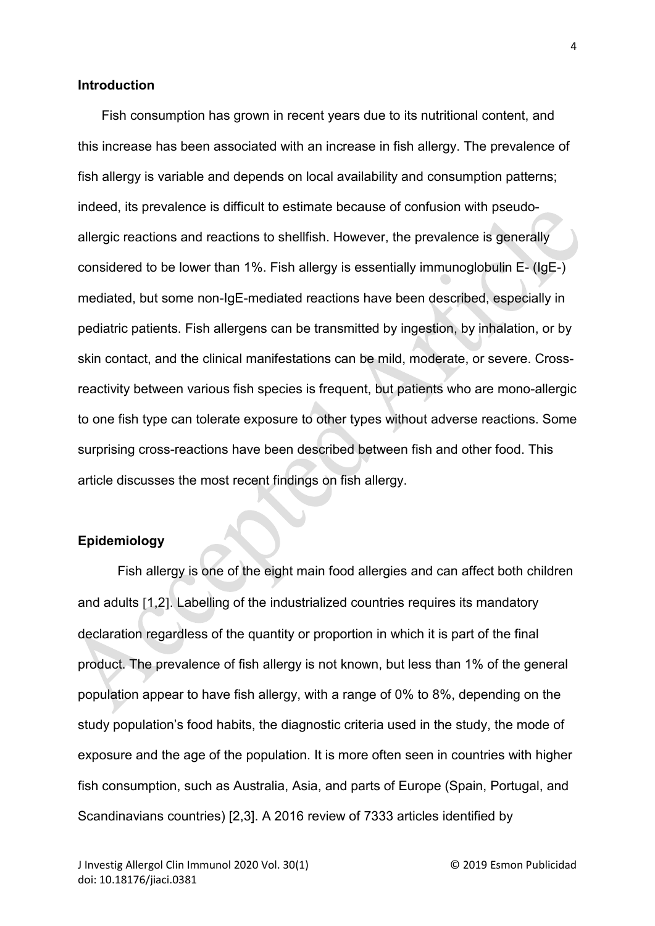#### **Introduction**

Fish consumption has grown in recent years due to its nutritional content, and this increase has been associated with an increase in fish allergy. The prevalence of fish allergy is variable and depends on local availability and consumption patterns; indeed, its prevalence is difficult to estimate because of confusion with pseudoallergic reactions and reactions to shellfish. However, the prevalence is generally considered to be lower than 1%. Fish allergy is essentially immunoglobulin E- (IgE-) mediated, but some non-IgE-mediated reactions have been described, especially in pediatric patients. Fish allergens can be transmitted by ingestion, by inhalation, or by skin contact, and the clinical manifestations can be mild, moderate, or severe. Crossreactivity between various fish species is frequent, but patients who are mono-allergic to one fish type can tolerate exposure to other types without adverse reactions. Some surprising cross-reactions have been described between fish and other food. This article discusses the most recent findings on fish allergy.

#### **Epidemiology**

Fish allergy is one of the eight main food allergies and can affect both children and adults [1,2]. Labelling of the industrialized countries requires its mandatory declaration regardless of the quantity or proportion in which it is part of the final product. The prevalence of fish allergy is not known, but less than 1% of the general population appear to have fish allergy, with a range of 0% to 8%, depending on the study population's food habits, the diagnostic criteria used in the study, the mode of exposure and the age of the population. It is more often seen in countries with higher fish consumption, such as Australia, Asia, and parts of Europe (Spain, Portugal, and Scandinavians countries) [2,3]. A 2016 review of 7333 articles identified by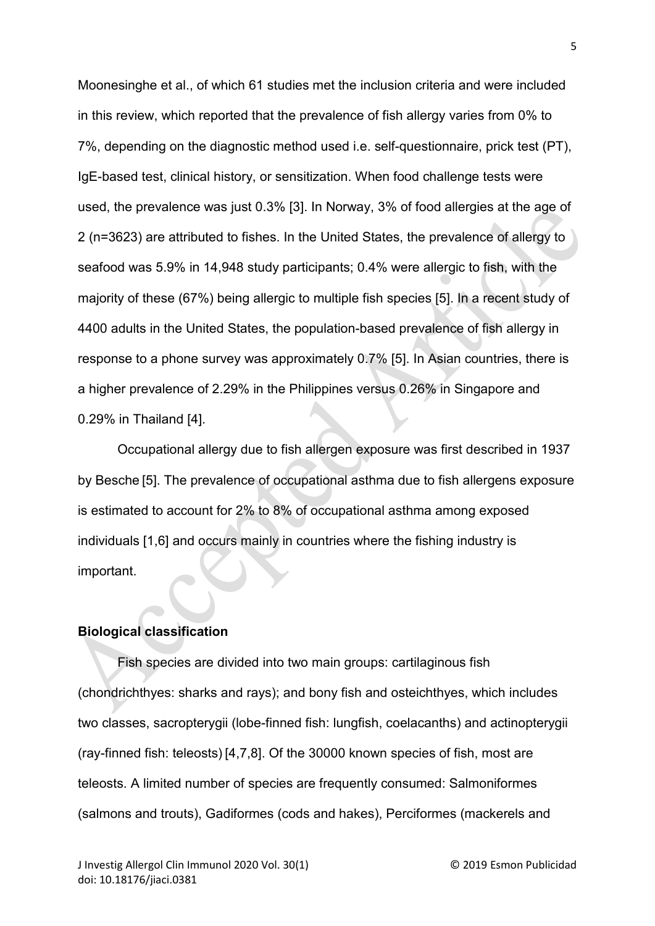Moonesinghe et al., of which 61 studies met the inclusion criteria and were included in this review, which reported that the prevalence of fish allergy varies from 0% to 7%, depending on the diagnostic method used i.e. self-questionnaire, prick test (PT), IgE-based test, clinical history, or sensitization. When food challenge tests were used, the prevalence was just 0.3% [3]. In Norway, 3% of food allergies at the age of 2 (n=3623) are attributed to fishes. In the United States, the prevalence of allergy to seafood was 5.9% in 14,948 study participants; 0.4% were allergic to fish, with the majority of these (67%) being allergic to multiple fish species [5]. In a recent study of 4400 adults in the United States, the population-based prevalence of fish allergy in response to a phone survey was approximately 0.7% [5]. In Asian countries, there is a higher prevalence of 2.29% in the Philippines versus 0.26% in Singapore and 0.29% in Thailand [4].

Occupational allergy due to fish allergen exposure was first described in 1937 by Besche [5]. The prevalence of occupational asthma due to fish allergens exposure is estimated to account for 2% to 8% of occupational asthma among exposed individuals [1,6] and occurs mainly in countries where the fishing industry is important.

# **Biological classification**

Fish species are divided into two main groups: cartilaginous fish (chondrichthyes: sharks and rays); and bony fish and osteichthyes, which includes two classes, sacropterygii (lobe-finned fish: lungfish, coelacanths) and actinopterygii (ray-finned fish: teleosts) [4,7,8]. Of the 30000 known species of fish, most are teleosts. A limited number of species are frequently consumed: Salmoniformes (salmons and trouts), Gadiformes (cods and hakes), Perciformes (mackerels and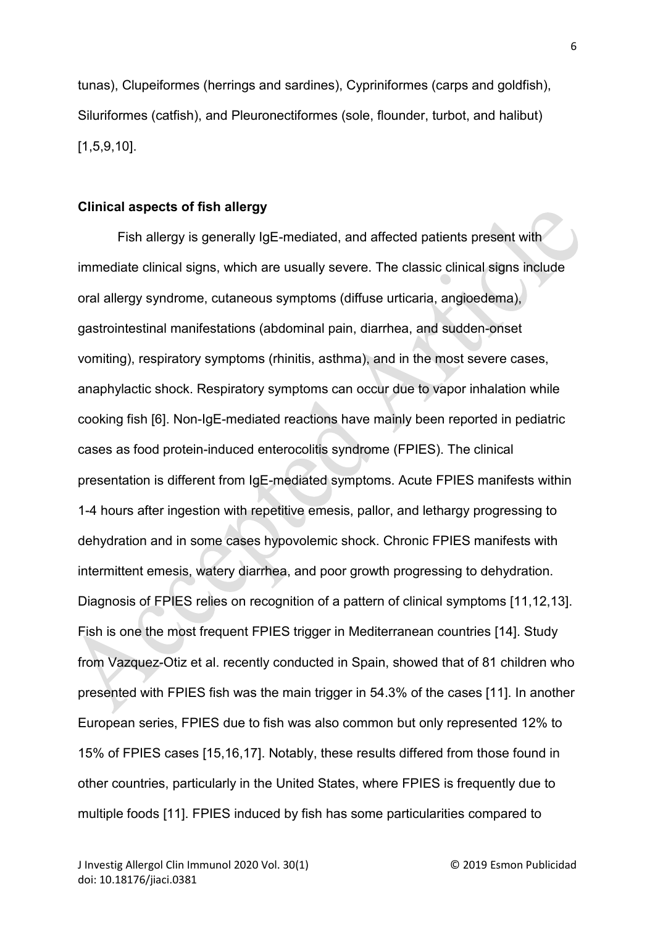tunas), Clupeiformes (herrings and sardines), Cypriniformes (carps and goldfish), Siluriformes (catfish), and Pleuronectiformes (sole, flounder, turbot, and halibut) [1,5,9,10].

#### **Clinical aspects of fish allergy**

Fish allergy is generally IgE-mediated, and affected patients present with immediate clinical signs, which are usually severe. The classic clinical signs include oral allergy syndrome, cutaneous symptoms (diffuse urticaria, angioedema), gastrointestinal manifestations (abdominal pain, diarrhea, and sudden-onset vomiting), respiratory symptoms (rhinitis, asthma), and in the most severe cases, anaphylactic shock. Respiratory symptoms can occur due to vapor inhalation while cooking fish [6]. Non-IgE-mediated reactions have mainly been reported in pediatric cases as food protein-induced enterocolitis syndrome (FPIES). The clinical presentation is different from IgE-mediated symptoms. Acute FPIES manifests within 1-4 hours after ingestion with repetitive emesis, pallor, and lethargy progressing to dehydration and in some cases hypovolemic shock. Chronic FPIES manifests with intermittent emesis, watery diarrhea, and poor growth progressing to dehydration. Diagnosis of FPIES relies on recognition of a pattern of clinical symptoms [11,12,13]. Fish is one the most frequent FPIES trigger in Mediterranean countries [14]. Study from Vazquez-Otiz et al. recently conducted in Spain, showed that of 81 children who presented with FPIES fish was the main trigger in 54.3% of the cases [11]. In another European series, FPIES due to fish was also common but only represented 12% to 15% of FPIES cases [15,16,17]. Notably, these results differed from those found in other countries, particularly in the United States, where FPIES is frequently due to multiple foods [11]. FPIES induced by fish has some particularities compared to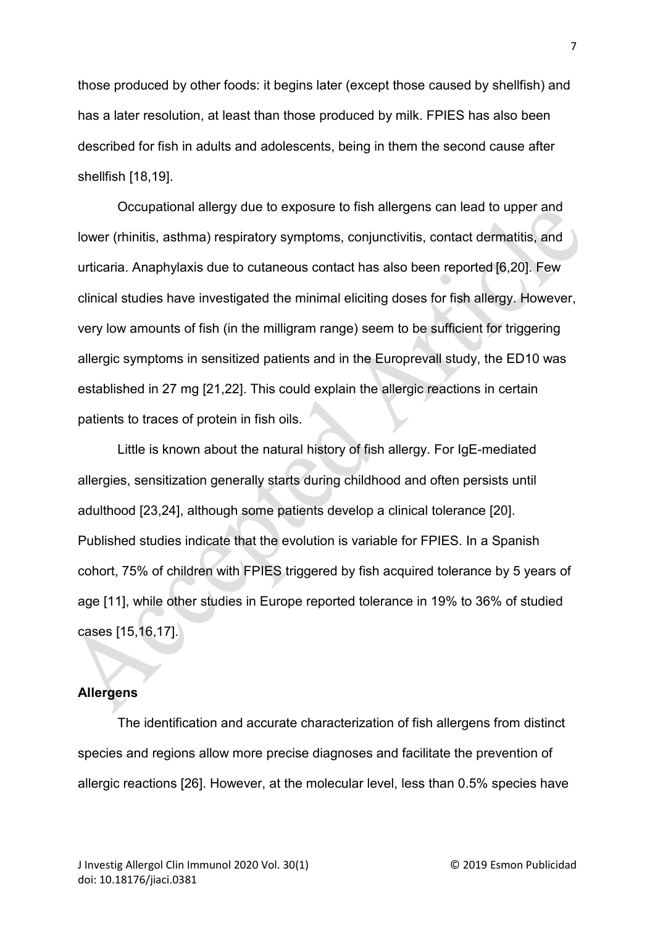those produced by other foods: it begins later (except those caused by shellfish) and has a later resolution, at least than those produced by milk. FPIES has also been described for fish in adults and adolescents, being in them the second cause after shellfish [18,19].

Occupational allergy due to exposure to fish allergens can lead to upper and lower (rhinitis, asthma) respiratory symptoms, conjunctivitis, contact dermatitis, and urticaria. Anaphylaxis due to cutaneous contact has also been reported [6,20]. Few clinical studies have investigated the minimal eliciting doses for fish allergy. However, very low amounts of fish (in the milligram range) seem to be sufficient for triggering allergic symptoms in sensitized patients and in the Europrevall study, the ED10 was established in 27 mg [21,22]. This could explain the allergic reactions in certain patients to traces of protein in fish oils.

Little is known about the natural history of fish allergy. For IgE-mediated allergies, sensitization generally starts during childhood and often persists until adulthood [23,24], although some patients develop a clinical tolerance [20]. Published studies indicate that the evolution is variable for FPIES. In a Spanish cohort, 75% of children with FPIES triggered by fish acquired tolerance by 5 years of age [11], while other studies in Europe reported tolerance in 19% to 36% of studied cases [15,16,17].

## **Allergens**

The identification and accurate characterization of fish allergens from distinct species and regions allow more precise diagnoses and facilitate the prevention of allergic reactions [26]. However, at the molecular level, less than 0.5% species have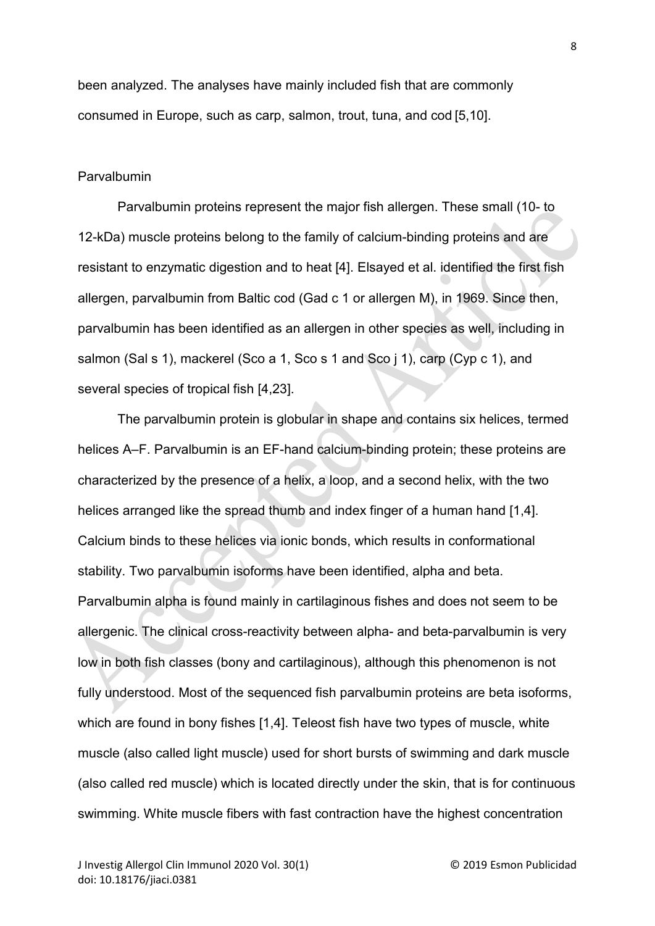been analyzed. The analyses have mainly included fish that are commonly consumed in Europe, such as carp, salmon, trout, tuna, and cod [5,10].

#### Parvalbumin

Parvalbumin proteins represent the major fish allergen. These small (10- to 12-kDa) muscle proteins belong to the family of calcium-binding proteins and are resistant to enzymatic digestion and to heat [4]. Elsayed et al. identified the first fish allergen, parvalbumin from Baltic cod (Gad c 1 or allergen M), in 1969. Since then, parvalbumin has been identified as an allergen in other species as well, including in salmon (Sal s 1), mackerel (Sco a 1, Sco s 1 and Sco j 1), carp (Cyp c 1), and several species of tropical fish [4,23].

The parvalbumin protein is globular in shape and contains six helices, termed helices A–F. Parvalbumin is an EF-hand calcium-binding protein; these proteins are characterized by the presence of a helix, a loop, and a second helix, with the two helices arranged like the spread thumb and index finger of a human hand [1,4]. Calcium binds to these helices via ionic bonds, which results in conformational stability. Two parvalbumin isoforms have been identified, alpha and beta. Parvalbumin alpha is found mainly in cartilaginous fishes and does not seem to be allergenic. The clinical cross-reactivity between alpha- and beta-parvalbumin is very low in both fish classes (bony and cartilaginous), although this phenomenon is not fully understood. Most of the sequenced fish parvalbumin proteins are beta isoforms, which are found in bony fishes [1,4]. Teleost fish have two types of muscle, white muscle (also called light muscle) used for short bursts of swimming and dark muscle (also called red muscle) which is located directly under the skin, that is for continuous swimming. White muscle fibers with fast contraction have the highest concentration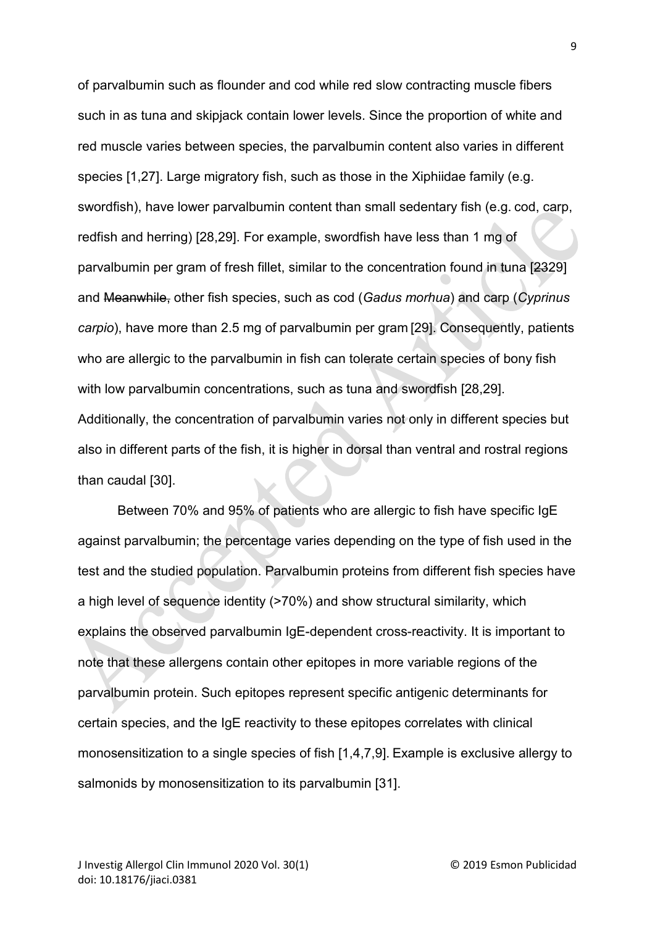of parvalbumin such as flounder and cod while red slow contracting muscle fibers such in as tuna and skipjack contain lower levels. Since the proportion of white and red muscle varies between species, the parvalbumin content also varies in different species [1,27]. Large migratory fish, such as those in the Xiphiidae family (e.g. swordfish), have lower parvalbumin content than small sedentary fish (e.g. cod, carp, redfish and herring) [28,29]. For example, swordfish have less than 1 mg of parvalbumin per gram of fresh fillet, similar to the concentration found in tuna [2329] and Meanwhile, other fish species, such as cod (*Gadus morhua*) and carp (*Cyprinus carpio*), have more than 2.5 mg of parvalbumin per gram [29]. Consequently, patients who are allergic to the parvalbumin in fish can tolerate certain species of bony fish with low parvalbumin concentrations, such as tuna and swordfish [28,29]. Additionally, the concentration of parvalbumin varies not only in different species but also in different parts of the fish, it is higher in dorsal than ventral and rostral regions than caudal [30].

Between 70% and 95% of patients who are allergic to fish have specific IgE against parvalbumin; the percentage varies depending on the type of fish used in the test and the studied population. Parvalbumin proteins from different fish species have a high level of sequence identity (>70%) and show structural similarity, which explains the observed parvalbumin IgE-dependent cross-reactivity. It is important to note that these allergens contain other epitopes in more variable regions of the parvalbumin protein. Such epitopes represent specific antigenic determinants for certain species, and the IgE reactivity to these epitopes correlates with clinical monosensitization to a single species of fish [1,4,7,9]. Example is exclusive allergy to salmonids by monosensitization to its parvalbumin [31].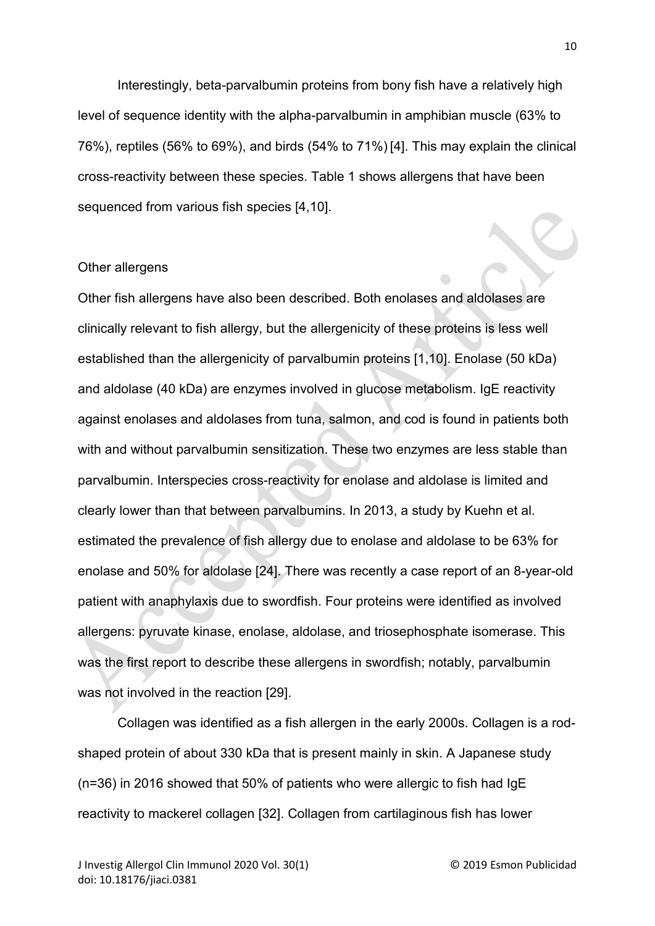Interestingly, beta-parvalbumin proteins from bony fish have a relatively high level of sequence identity with the alpha-parvalbumin in amphibian muscle (63% to 76%), reptiles (56% to 69%), and birds (54% to 71%) [4]. This may explain the clinical cross-reactivity between these species. Table 1 shows allergens that have been sequenced from various fish species [4,10].

#### Other allergens

Other fish allergens have also been described. Both enolases and aldolases are clinically relevant to fish allergy, but the allergenicity of these proteins is less well established than the allergenicity of parvalbumin proteins [1,10]. Enolase (50 kDa) and aldolase (40 kDa) are enzymes involved in glucose metabolism. IgE reactivity against enolases and aldolases from tuna, salmon, and cod is found in patients both with and without parvalbumin sensitization. These two enzymes are less stable than parvalbumin. Interspecies cross-reactivity for enolase and aldolase is limited and clearly lower than that between parvalbumins. In 2013, a study by Kuehn et al. estimated the prevalence of fish allergy due to enolase and aldolase to be 63% for enolase and 50% for aldolase [24]. There was recently a case report of an 8-year-old patient with anaphylaxis due to swordfish. Four proteins were identified as involved allergens: pyruvate kinase, enolase, aldolase, and triosephosphate isomerase. This was the first report to describe these allergens in swordfish; notably, parvalbumin was not involved in the reaction [29].

Collagen was identified as a fish allergen in the early 2000s. Collagen is a rodshaped protein of about 330 kDa that is present mainly in skin. A Japanese study (n=36) in 2016 showed that 50% of patients who were allergic to fish had IgE reactivity to mackerel collagen [32]. Collagen from cartilaginous fish has lower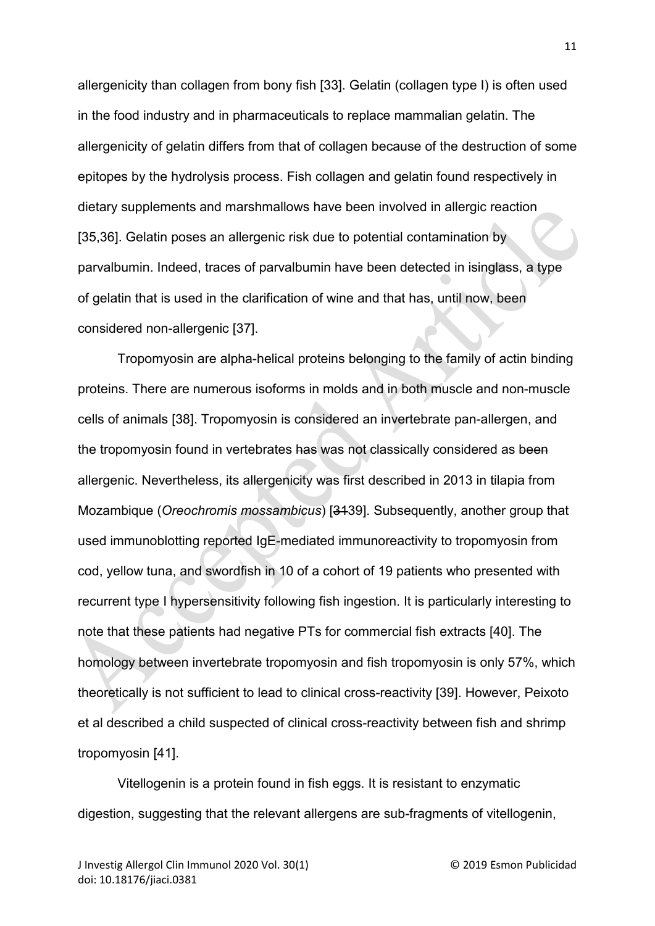allergenicity than collagen from bony fish [33]. Gelatin (collagen type I) is often used in the food industry and in pharmaceuticals to replace mammalian gelatin. The allergenicity of gelatin differs from that of collagen because of the destruction of some epitopes by the hydrolysis process. Fish collagen and gelatin found respectively in dietary supplements and marshmallows have been involved in allergic reaction [35,36]. Gelatin poses an allergenic risk due to potential contamination by parvalbumin. Indeed, traces of parvalbumin have been detected in isinglass, a type of gelatin that is used in the clarification of wine and that has, until now, been considered non-allergenic [37].

Tropomyosin are alpha-helical proteins belonging to the family of actin binding proteins. There are numerous isoforms in molds and in both muscle and non-muscle cells of animals [38]. Tropomyosin is considered an invertebrate pan-allergen, and the tropomyosin found in vertebrates has was not classically considered as been allergenic. Nevertheless, its allergenicity was first described in 2013 in tilapia from Mozambique (*Oreochromis mossambicus*) [3139]. Subsequently, another group that used immunoblotting reported IgE-mediated immunoreactivity to tropomyosin from cod, yellow tuna, and swordfish in 10 of a cohort of 19 patients who presented with recurrent type I hypersensitivity following fish ingestion. It is particularly interesting to note that these patients had negative PTs for commercial fish extracts [40]. The homology between invertebrate tropomyosin and fish tropomyosin is only 57%, which theoretically is not sufficient to lead to clinical cross-reactivity [39]. However, Peixoto et al described a child suspected of clinical cross-reactivity between fish and shrimp tropomyosin [41].

Vitellogenin is a protein found in fish eggs. It is resistant to enzymatic digestion, suggesting that the relevant allergens are sub-fragments of vitellogenin,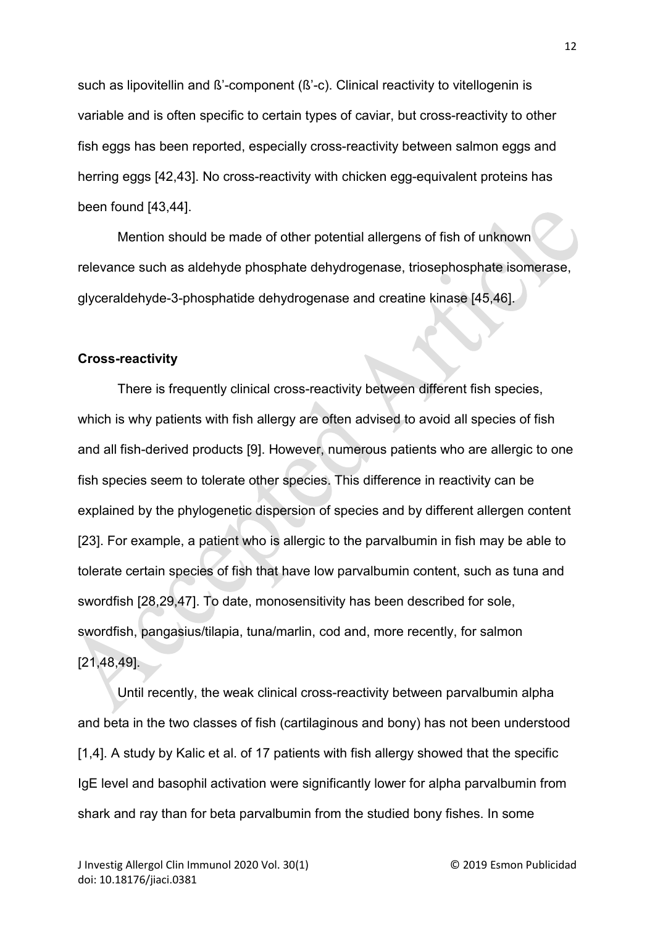such as lipovitellin and ß'-component (ß'-c). Clinical reactivity to vitellogenin is variable and is often specific to certain types of caviar, but cross-reactivity to other fish eggs has been reported, especially cross-reactivity between salmon eggs and herring eggs [42,43]. No cross-reactivity with chicken egg-equivalent proteins has been found [43,44].

Mention should be made of other potential allergens of fish of unknown relevance such as aldehyde phosphate dehydrogenase, triosephosphate isomerase, glyceraldehyde-3-phosphatide dehydrogenase and creatine kinase [45,46].

### **Cross-reactivity**

There is frequently clinical cross-reactivity between different fish species, which is why patients with fish allergy are often advised to avoid all species of fish and all fish-derived products [9]. However, numerous patients who are allergic to one fish species seem to tolerate other species. This difference in reactivity can be explained by the phylogenetic dispersion of species and by different allergen content [23]. For example, a patient who is allergic to the parvalbumin in fish may be able to tolerate certain species of fish that have low parvalbumin content, such as tuna and swordfish [28,29,47]. To date, monosensitivity has been described for sole, swordfish, pangasius/tilapia, tuna/marlin, cod and, more recently, for salmon [21,48,49].

Until recently, the weak clinical cross-reactivity between parvalbumin alpha and beta in the two classes of fish (cartilaginous and bony) has not been understood [1,4]. A study by Kalic et al. of 17 patients with fish allergy showed that the specific IgE level and basophil activation were significantly lower for alpha parvalbumin from shark and ray than for beta parvalbumin from the studied bony fishes. In some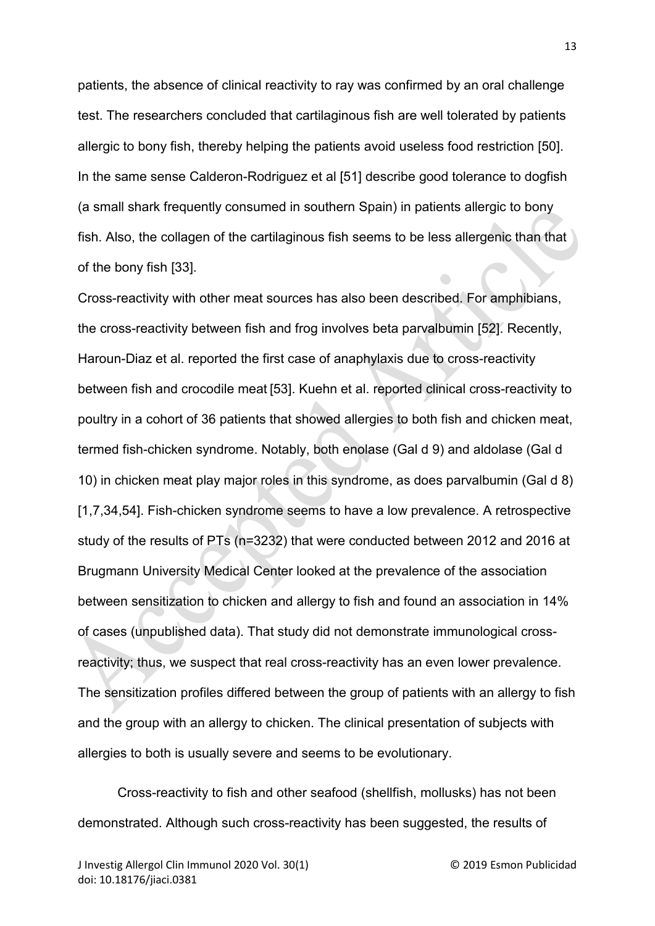patients, the absence of clinical reactivity to ray was confirmed by an oral challenge test. The researchers concluded that cartilaginous fish are well tolerated by patients allergic to bony fish, thereby helping the patients avoid useless food restriction [50]. In the same sense Calderon-Rodriguez et al [51] describe good tolerance to dogfish (a small shark frequently consumed in southern Spain) in patients allergic to bony fish. Also, the collagen of the cartilaginous fish seems to be less allergenic than that of the bony fish [33].

Cross-reactivity with other meat sources has also been described. For amphibians, the cross-reactivity between fish and frog involves beta parvalbumin [52]. Recently, Haroun-Diaz et al. reported the first case of anaphylaxis due to cross-reactivity between fish and crocodile meat [53]. Kuehn et al. reported clinical cross-reactivity to poultry in a cohort of 36 patients that showed allergies to both fish and chicken meat, termed fish-chicken syndrome. Notably, both enolase (Gal d 9) and aldolase (Gal d 10) in chicken meat play major roles in this syndrome, as does parvalbumin (Gal d 8) [1,7,34,54]. Fish-chicken syndrome seems to have a low prevalence. A retrospective study of the results of PTs (n=3232) that were conducted between 2012 and 2016 at Brugmann University Medical Center looked at the prevalence of the association between sensitization to chicken and allergy to fish and found an association in 14% of cases (unpublished data). That study did not demonstrate immunological crossreactivity; thus, we suspect that real cross-reactivity has an even lower prevalence. The sensitization profiles differed between the group of patients with an allergy to fish and the group with an allergy to chicken. The clinical presentation of subjects with allergies to both is usually severe and seems to be evolutionary.

Cross-reactivity to fish and other seafood (shellfish, mollusks) has not been demonstrated. Although such cross-reactivity has been suggested, the results of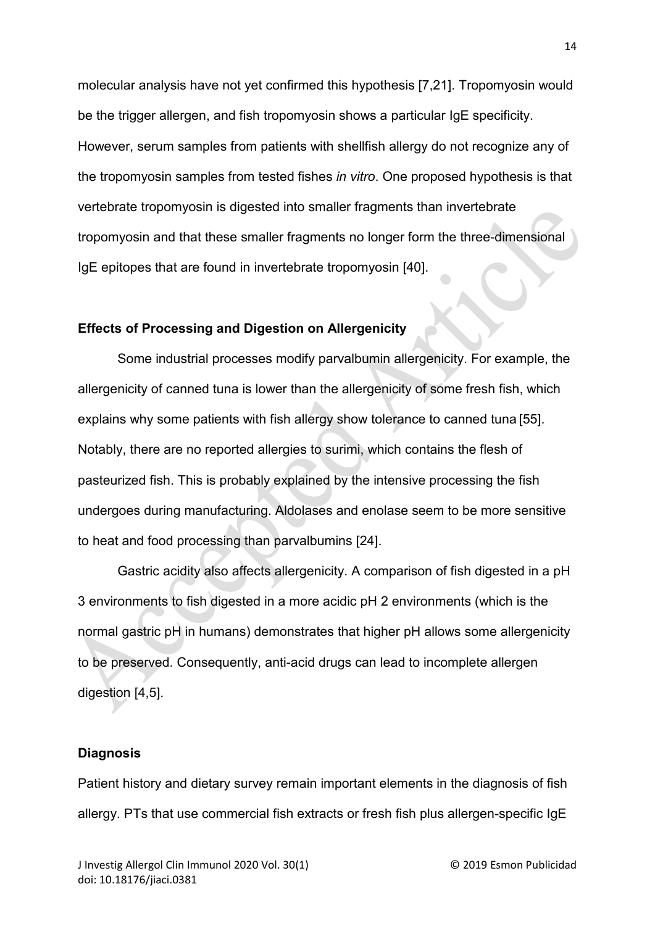molecular analysis have not yet confirmed this hypothesis [7,21]. Tropomyosin would be the trigger allergen, and fish tropomyosin shows a particular IgE specificity. However, serum samples from patients with shellfish allergy do not recognize any of the tropomyosin samples from tested fishes *in vitro*. One proposed hypothesis is that vertebrate tropomyosin is digested into smaller fragments than invertebrate tropomyosin and that these smaller fragments no longer form the three-dimensional IgE epitopes that are found in invertebrate tropomyosin [40].

## **Effects of Processing and Digestion on Allergenicity**

Some industrial processes modify parvalbumin allergenicity. For example, the allergenicity of canned tuna is lower than the allergenicity of some fresh fish, which explains why some patients with fish allergy show tolerance to canned tuna [55]. Notably, there are no reported allergies to surimi, which contains the flesh of pasteurized fish. This is probably explained by the intensive processing the fish undergoes during manufacturing. Aldolases and enolase seem to be more sensitive to heat and food processing than parvalbumins [24].

Gastric acidity also affects allergenicity. A comparison of fish digested in a pH 3 environments to fish digested in a more acidic pH 2 environments (which is the normal gastric pH in humans) demonstrates that higher pH allows some allergenicity to be preserved. Consequently, anti-acid drugs can lead to incomplete allergen digestion [4,5].

#### **Diagnosis**

Patient history and dietary survey remain important elements in the diagnosis of fish allergy. PTs that use commercial fish extracts or fresh fish plus allergen-specific IgE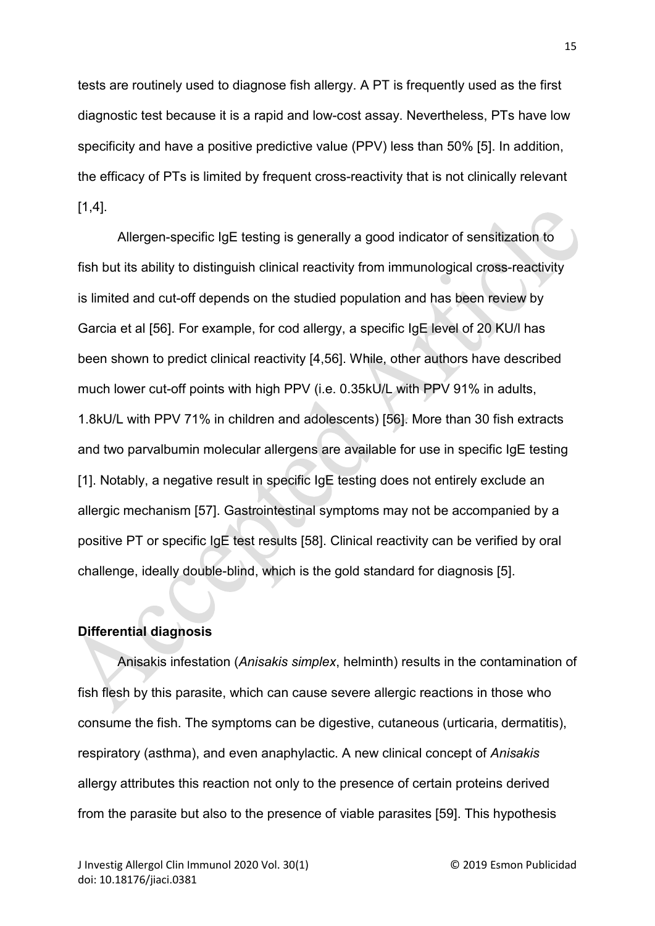tests are routinely used to diagnose fish allergy. A PT is frequently used as the first diagnostic test because it is a rapid and low-cost assay. Nevertheless, PTs have low specificity and have a positive predictive value (PPV) less than 50% [5]. In addition, the efficacy of PTs is limited by frequent cross-reactivity that is not clinically relevant  $[1,4]$ .

Allergen-specific IgE testing is generally a good indicator of sensitization to fish but its ability to distinguish clinical reactivity from immunological cross-reactivity is limited and cut-off depends on the studied population and has been review by Garcia et al [56]. For example, for cod allergy, a specific IgE level of 20 KU/l has been shown to predict clinical reactivity [4,56]. While, other authors have described much lower cut-off points with high PPV (i.e. 0.35kU/L with PPV 91% in adults, 1.8kU/L with PPV 71% in children and adolescents) [56]. More than 30 fish extracts and two parvalbumin molecular allergens are available for use in specific IgE testing [1]. Notably, a negative result in specific IgE testing does not entirely exclude an allergic mechanism [57]. Gastrointestinal symptoms may not be accompanied by a positive PT or specific IgE test results [58]. Clinical reactivity can be verified by oral challenge, ideally double-blind, which is the gold standard for diagnosis [5].

## **Differential diagnosis**

Anisakis infestation (*Anisakis simplex*, helminth) results in the contamination of fish flesh by this parasite, which can cause severe allergic reactions in those who consume the fish. The symptoms can be digestive, cutaneous (urticaria, dermatitis), respiratory (asthma), and even anaphylactic. A new clinical concept of *Anisakis*  allergy attributes this reaction not only to the presence of certain proteins derived from the parasite but also to the presence of viable parasites [59]. This hypothesis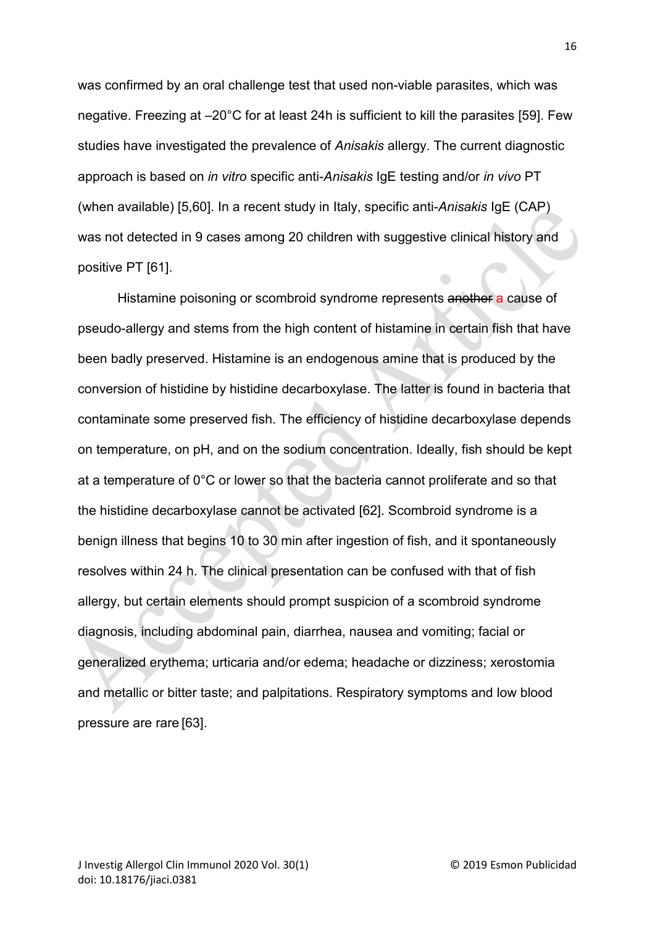was confirmed by an oral challenge test that used non-viable parasites, which was negative. Freezing at –20°C for at least 24h is sufficient to kill the parasites [59]. Few studies have investigated the prevalence of *Anisakis* allergy. The current diagnostic approach is based on *in vitro* specific anti-*Anisakis* IgE testing and/or *in vivo* PT (when available) [5,60]. In a recent study in Italy, specific anti-*Anisakis* IgE (CAP) was not detected in 9 cases among 20 children with suggestive clinical history and positive PT [61].

Histamine poisoning or scombroid syndrome represents another a cause of pseudo-allergy and stems from the high content of histamine in certain fish that have been badly preserved. Histamine is an endogenous amine that is produced by the conversion of histidine by histidine decarboxylase. The latter is found in bacteria that contaminate some preserved fish. The efficiency of histidine decarboxylase depends on temperature, on pH, and on the sodium concentration. Ideally, fish should be kept at a temperature of 0°C or lower so that the bacteria cannot proliferate and so that the histidine decarboxylase cannot be activated [62]. Scombroid syndrome is a benign illness that begins 10 to 30 min after ingestion of fish, and it spontaneously resolves within 24 h. The clinical presentation can be confused with that of fish allergy, but certain elements should prompt suspicion of a scombroid syndrome diagnosis, including abdominal pain, diarrhea, nausea and vomiting; facial or generalized erythema; urticaria and/or edema; headache or dizziness; xerostomia and metallic or bitter taste; and palpitations. Respiratory symptoms and low blood pressure are rare [63].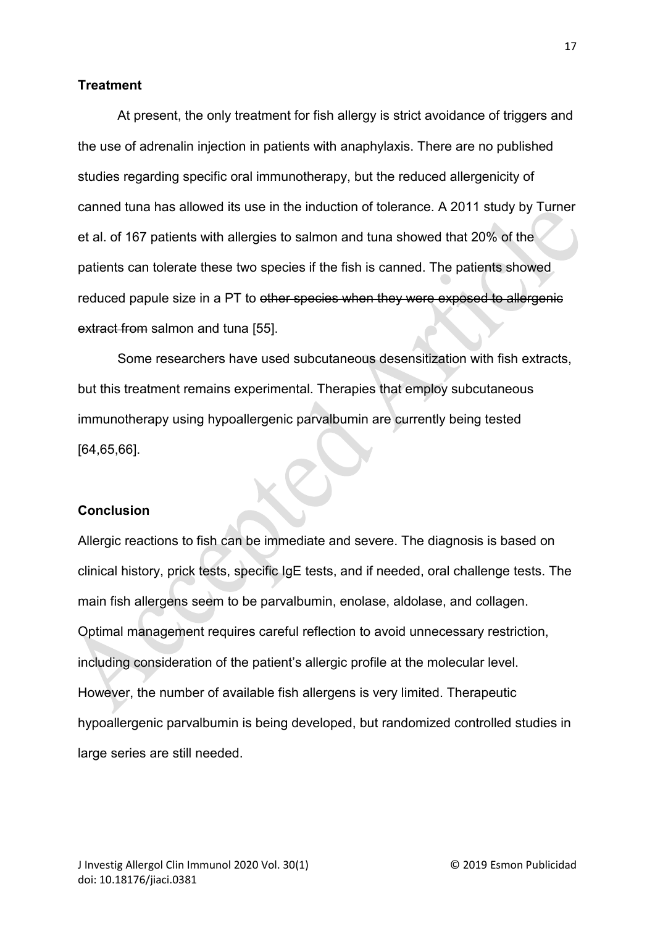## **Treatment**

At present, the only treatment for fish allergy is strict avoidance of triggers and the use of adrenalin injection in patients with anaphylaxis. There are no published studies regarding specific oral immunotherapy, but the reduced allergenicity of canned tuna has allowed its use in the induction of tolerance. A 2011 study by Turner et al. of 167 patients with allergies to salmon and tuna showed that 20% of the patients can tolerate these two species if the fish is canned. The patients showed reduced papule size in a PT to other species when they were exposed to allergenic extract from salmon and tuna [55].

Some researchers have used subcutaneous desensitization with fish extracts, but this treatment remains experimental. Therapies that employ subcutaneous immunotherapy using hypoallergenic parvalbumin are currently being tested [64,65,66].

## **Conclusion**

Allergic reactions to fish can be immediate and severe. The diagnosis is based on clinical history, prick tests, specific IgE tests, and if needed, oral challenge tests. The main fish allergens seem to be parvalbumin, enolase, aldolase, and collagen. Optimal management requires careful reflection to avoid unnecessary restriction, including consideration of the patient's allergic profile at the molecular level. However, the number of available fish allergens is very limited. Therapeutic hypoallergenic parvalbumin is being developed, but randomized controlled studies in large series are still needed.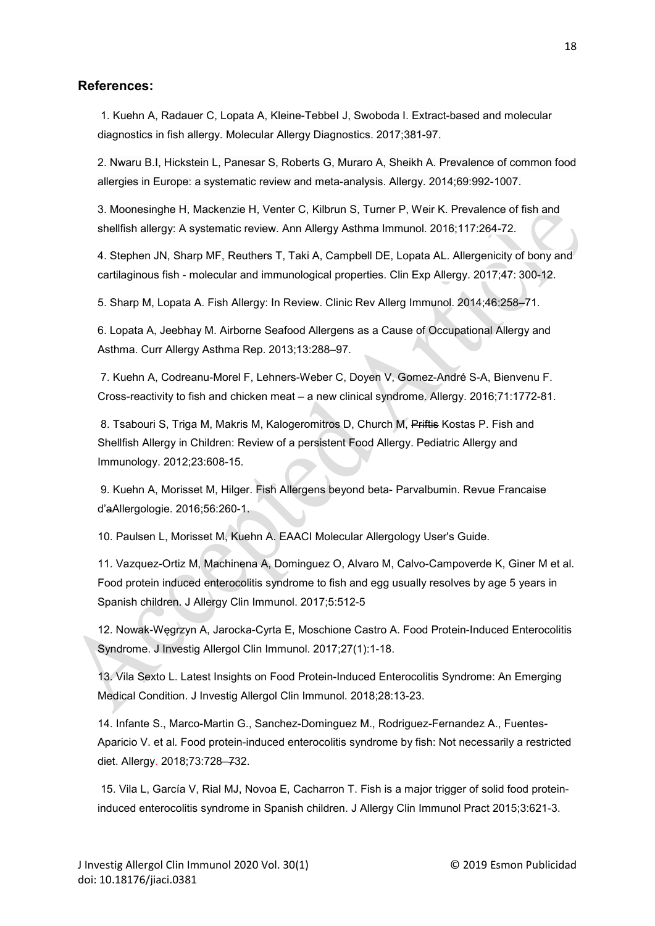#### **References:**

1. Kuehn A, Radauer C, Lopata A, Kleine-TebbeI J, Swoboda I. Extract-based and molecular diagnostics in fish allergy. Molecular Allergy Diagnostics. 2017;381-97.

2. Nwaru B.I, Hickstein L, Panesar S, Roberts G, Muraro A, Sheikh A. Prevalence of common food allergies in Europe: a systematic review and meta-analysis. Allergy. 2014;69:992-1007.

3. Moonesinghe H, Mackenzie H, Venter C, Kilbrun S, Turner P, Weir K. Prevalence of fish and shellfish allergy: A systematic review. Ann Allergy Asthma Immunol. 2016;117:264-72.

4. Stephen JN, Sharp MF, Reuthers T, Taki A, Campbell DE, Lopata AL. Allergenicity of bony and cartilaginous fish - molecular and immunological properties. Clin Exp Allergy. 2017;47: 300-12.

5. Sharp M, Lopata A. Fish Allergy: In Review. Clinic Rev Allerg Immunol. 2014;46:258–71.

6. Lopata A, Jeebhay M. Airborne Seafood Allergens as a Cause of Occupational Allergy and Asthma. Curr Allergy Asthma Rep. 2013;13:288–97.

7. Kuehn A, Codreanu-Morel F, Lehners-Weber C, Doyen V, Gomez-André S-A, Bienvenu F. Cross-reactivity to fish and chicken meat – a new clinical syndrome. Allergy. 2016;71:1772-81.

8. Tsabouri S, Triga M, Makris M, Kalogeromitros D, Church M, Priftis Kostas P. Fish and Shellfish Allergy in Children: Review of a persistent Food Allergy. Pediatric Allergy and Immunology. 2012;23:608-15.

9. Kuehn A, Morisset M, Hilger. Fish Allergens beyond beta- Parvalbumin. Revue Francaise d'aAllergologie. 2016;56:260-1.

10. Paulsen L, Morisset M, Kuehn A. EAACI Molecular Allergology User's Guide.

11. Vazquez-Ortiz M, Machinena A, Dominguez O, Alvaro M, Calvo-Campoverde K, Giner M et al*.* Food protein induced enterocolitis syndrome to fish and egg usually resolves by age 5 years in Spanish children. J Allergy Clin Immunol. 2017;5:512-5

12. Nowak-Węgrzyn A, Jarocka-Cyrta E, Moschione Castro A. Food Protein-Induced Enterocolitis Syndrome. J Investig Allergol Clin Immunol. 2017;27(1):1-18.

13. Vila Sexto L. Latest Insights on Food Protein-Induced Enterocolitis Syndrome: An Emerging Medical Condition. J Investig Allergol Clin Immunol. 2018;28:13-23.

14. Infante S., Marco-Martin G., Sanchez-Dominguez M., Rodriguez-Fernandez A., Fuentes-Aparicio V. et al*.* Food protein-induced enterocolitis syndrome by fish: Not necessarily a restricted diet. Allergy. 2018;73:728–732.

15. Vila L, García V, Rial MJ, Novoa E, Cacharron T. Fish is a major trigger of solid food proteininduced enterocolitis syndrome in Spanish children. J Allergy Clin Immunol Pract 2015;3:621-3.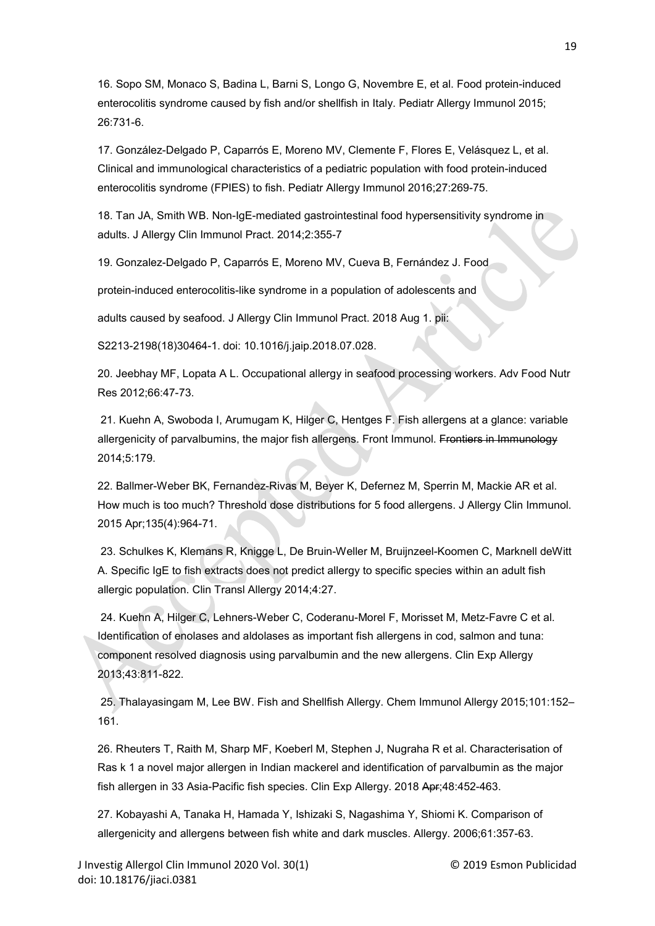16. Sopo SM, Monaco S, Badina L, Barni S, Longo G, Novembre E, et al. Food protein-induced enterocolitis syndrome caused by fish and/or shellfish in Italy. Pediatr Allergy Immunol 2015; 26:731-6.

17. González-Delgado P, Caparrós E, Moreno MV, Clemente F, Flores E, Velásquez L, et al. Clinical and immunological characteristics of a pediatric population with food protein-induced enterocolitis syndrome (FPIES) to fish. Pediatr Allergy Immunol 2016;27:269-75.

18. Tan JA, Smith WB. Non-IgE-mediated gastrointestinal food hypersensitivity syndrome in adults. J Allergy Clin Immunol Pract. 2014;2:355-7

19. Gonzalez-Delgado P, Caparrós E, Moreno MV, Cueva B, Fernández J. Food

protein-induced enterocolitis-like syndrome in a population of adolescents and

adults caused by seafood. J Allergy Clin Immunol Pract. 2018 Aug 1. pii:

S2213-2198(18)30464-1. doi: 10.1016/j.jaip.2018.07.028.

20. Jeebhay MF, Lopata A L. Occupational allergy in seafood processing workers. Adv Food Nutr Res 2012;66:47-73.

21. Kuehn A, Swoboda I, Arumugam K, Hilger C, Hentges F. Fish allergens at a glance: variable allergenicity of parvalbumins, the major fish allergens. Front Immunol. Frontiers in Immunology 2014;5:179.

22. Ballmer-Weber BK, Fernandez-Rivas M, Beyer K, Defernez M, Sperrin M, Mackie AR et al. How much is too much? Threshold dose distributions for 5 food allergens. J Allergy Clin Immunol. 2015 Apr;135(4):964-71.

23. Schulkes K, Klemans R, Knigge L, De Bruin-Weller M, Bruijnzeel-Koomen C, Marknell deWitt A. Specific IgE to fish extracts does not predict allergy to specific species within an adult fish allergic population. [Clin Transl Allergy](https://www.ncbi.nlm.nih.gov/pmc/articles/PMC4164331/) 2014;4:27.

24. Kuehn A, Hilger C, Lehners-Weber C, Coderanu-Morel F, Morisset M, Metz-Favre C et al. Identification of enolases and aldolases as important fish allergens in cod, salmon and tuna: component resolved diagnosis using parvalbumin and the new allergens. Clin Exp Allergy 2013;43:811-822.

25. Thalayasingam M, Lee BW. Fish and Shellfish Allergy. Chem Immunol Allergy 2015;101:152– 161.

26. Rheuters T, Raith M, Sharp MF, Koeberl M, Stephen J, Nugraha R et al. Characterisation of Ras k 1 a novel major allergen in Indian mackerel and identification of parvalbumin as the major fish allergen in 33 Asia-Pacific fish species. Clin Exp Allergy. 2018 Apr;48:452-463.

27. Kobayashi A, Tanaka H, Hamada Y, Ishizaki S, Nagashima Y, Shiomi K. Comparison of allergenicity and allergens between fish white and dark muscles. Allergy. 2006;61:357-63.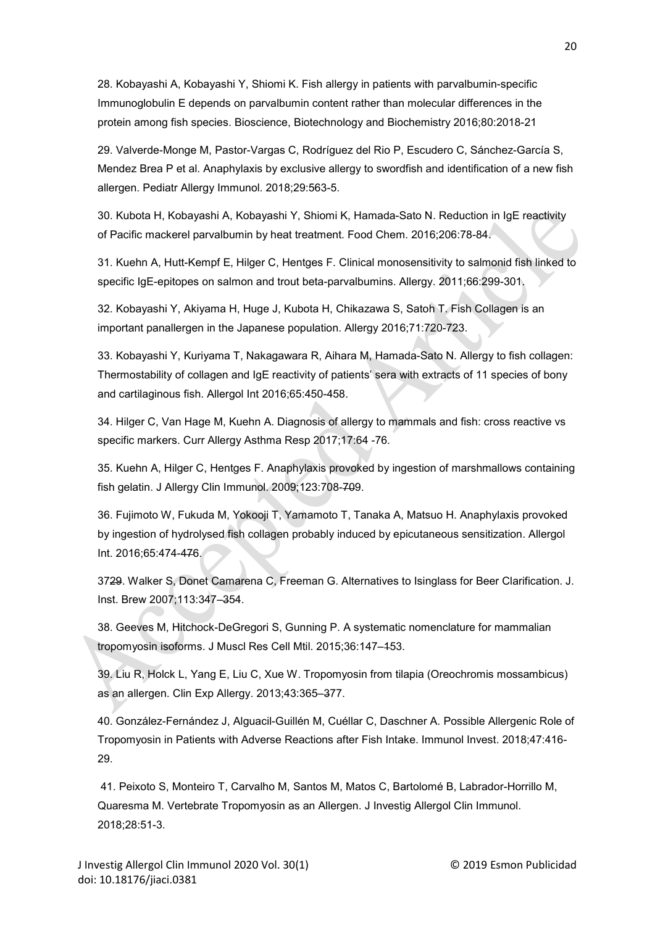28. Kobayashi A, Kobayashi Y, Shiomi K. Fish allergy in patients with parvalbumin-specific Immunoglobulin E depends on parvalbumin content rather than molecular differences in the protein among fish species. Bioscience, Biotechnology and Biochemistry 2016;80:2018-21

29. Valverde-Monge M, Pastor-Vargas C, Rodríguez del Rio P, Escudero C, Sánchez-García S, Mendez Brea P et al. Anaphylaxis by exclusive allergy to swordfish and identification of a new fish allergen. Pediatr Allergy Immunol. 2018;29:563-5.

30. Kubota H, Kobayashi A, Kobayashi Y, Shiomi K, Hamada-Sato N. Reduction in IgE reactivity of Pacific mackerel parvalbumin by heat treatment. Food Chem. 2016;206:78-84.

31. Kuehn A, Hutt-Kempf E, Hilger C, Hentges F. Clinical monosensitivity to salmonid fish linked to specific IgE-epitopes on salmon and trout beta-parvalbumins. Allergy. 2011;66:299-301.

32. Kobayashi Y, Akiyama H, Huge J, Kubota H, Chikazawa S, Satoh T. Fish Collagen is an important panallergen in the Japanese population. Allergy 2016;71:720-723.

33. Kobayashi Y, Kuriyama T, Nakagawara R, Aihara M, Hamada-Sato N. Allergy to fish collagen: Thermostability of collagen and IgE reactivity of patients' sera with extracts of 11 species of bony and cartilaginous fish. Allergol Int 2016;65:450-458.

34. Hilger C, Van Hage M, Kuehn A. Diagnosis of allergy to mammals and fish: cross reactive vs specific markers. Curr Allergy Asthma Resp 2017;17:64 -76.

35. Kuehn A, Hilger C, Hentges F. Anaphylaxis provoked by ingestion of marshmallows containing fish gelatin. J Allergy Clin Immunol. 2009;123:708-709.

36. Fujimoto W, Fukuda M, Yokooji T, Yamamoto T, Tanaka A, Matsuo H. Anaphylaxis provoked by ingestion of hydrolysed fish collagen probably induced by epicutaneous sensitization. Allergol Int. 2016;65:474-476.

3729. Walker S, Donet Camarena C, Freeman G. Alternatives to Isinglass for Beer Clarification. J. Inst. Brew 2007;113:347–354.

38. Geeves M, Hitchock-DeGregori S, Gunning P. A systematic nomenclature for mammalian tropomyosin isoforms. J Muscl Res Cell Mtil. 2015;36:147–153.

39. Liu R, Holck L, Yang E, Liu C, Xue W. Tropomyosin from tilapia (Oreochromis mossambicus) as an allergen. Clin Exp Allergy. 2013;43:365–377.

40. González-Fernández J, Alguacil-Guillén M, Cuéllar C, Daschner A. Possible Allergenic Role of Tropomyosin in Patients with Adverse Reactions after Fish Intake. Immunol Invest. 2018;47:416- 29.

41. Peixoto S, Monteiro T, Carvalho M, Santos M, Matos C, Bartolomé B, Labrador-Horrillo M, Quaresma M. Vertebrate Tropomyosin as an Allergen. J Investig Allergol Clin Immunol. 2018;28:51-3.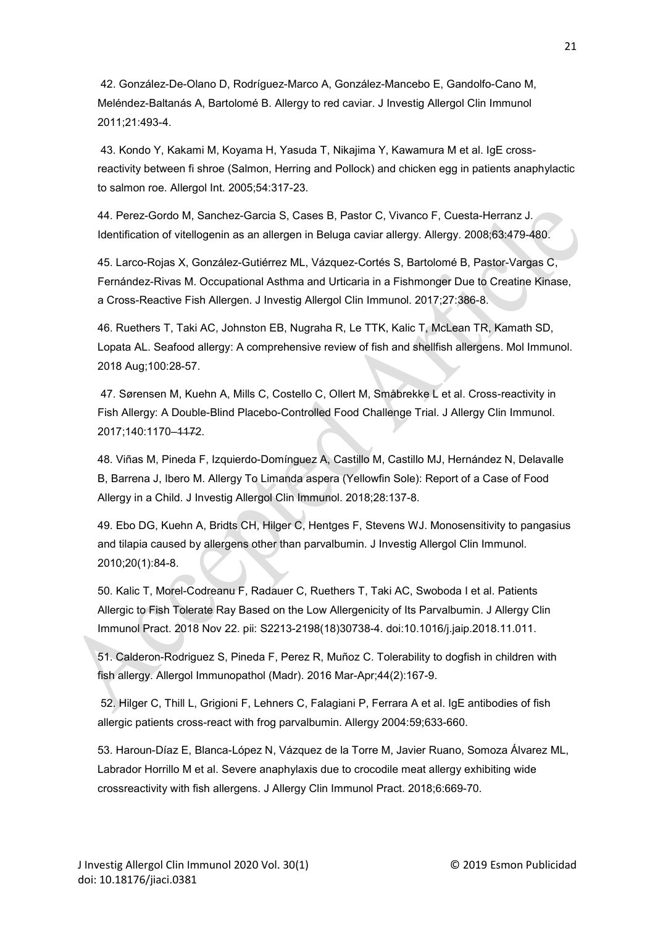42. González-De-Olano D, Rodríguez-Marco A, González-Mancebo E, Gandolfo-Cano M, Meléndez-Baltanás A, Bartolomé B. Allergy to red caviar. J Investig Allergol Clin Immunol 2011;21:493-4.

43. Kondo Y, Kakami M, Koyama H, Yasuda T, Nikajima Y, Kawamura M et al. IgE crossreactivity between fi shroe (Salmon, Herring and Pollock) and chicken egg in patients anaphylactic to salmon roe. Allergol Int. 2005;54:317-23.

44. Perez-Gordo M, Sanchez-Garcia S, Cases B, Pastor C, Vivanco F, Cuesta-Herranz J. Identification of vitellogenin as an allergen in Beluga caviar allergy. Allergy. 2008;63:479-480.

45. Larco-Rojas X, González-Gutiérrez ML, Vázquez-Cortés S, Bartolomé B, Pastor-Vargas C, Fernández-Rivas M. Occupational Asthma and Urticaria in a Fishmonger Due to Creatine Kinase, a Cross-Reactive Fish Allergen. J Investig Allergol Clin Immunol. 2017;27:386-8.

46. Ruethers T, Taki AC, Johnston EB, Nugraha R, Le TTK, Kalic T, McLean TR, Kamath SD, Lopata AL. Seafood allergy: A comprehensive review of fish and shellfish allergens. Mol Immunol. 2018 Aug;100:28-57.

47. Sørensen M, Kuehn A, Mills C, Costello C, Ollert M, Småbrekke L et al. Cross-reactivity in Fish Allergy: A Double-Blind Placebo-Controlled Food Challenge Trial. J Allergy Clin Immunol. 2017;140:1170–1172.

48. Viñas M, Pineda F, Izquierdo-Domínguez A, Castillo M, Castillo MJ, Hernández N, Delavalle B, Barrena J, Ibero M. Allergy To Limanda aspera (Yellowfin Sole): Report of a Case of Food Allergy in a Child. J Investig Allergol Clin Immunol. 2018;28:137-8.

49. Ebo DG, Kuehn A, Bridts CH, Hilger C, Hentges F, Stevens WJ. Monosensitivity to pangasius and tilapia caused by allergens other than parvalbumin. J Investig Allergol Clin Immunol. 2010;20(1):84-8.

50. Kalic T, Morel-Codreanu F, Radauer C, Ruethers T, Taki AC, Swoboda I et al. Patients Allergic to Fish Tolerate Ray Based on the Low Allergenicity of Its Parvalbumin. J Allergy Clin Immunol Pract. 2018 Nov 22. pii: S2213-2198(18)30738-4. doi:10.1016/j.jaip.2018.11.011.

51. Calderon-Rodriguez S, Pineda F, Perez R, Muñoz C. Tolerability to dogfish in children with fish allergy. Allergol Immunopathol (Madr). 2016 Mar-Apr;44(2):167-9.

52. Hilger C, Thill L, Grigioni F, Lehners C, Falagiani P, Ferrara A et al. IgE antibodies of fish allergic patients cross-react with frog parvalbumin. Allergy 2004:59;633-660.

53. Haroun-Díaz E, Blanca-López N, Vázquez de la Torre M, Javier Ruano, Somoza Álvarez ML, Labrador Horrillo M et al. Severe anaphylaxis due to crocodile meat allergy exhibiting wide crossreactivity with fish allergens. J Allergy Clin Immunol Pract. 2018;6:669-70.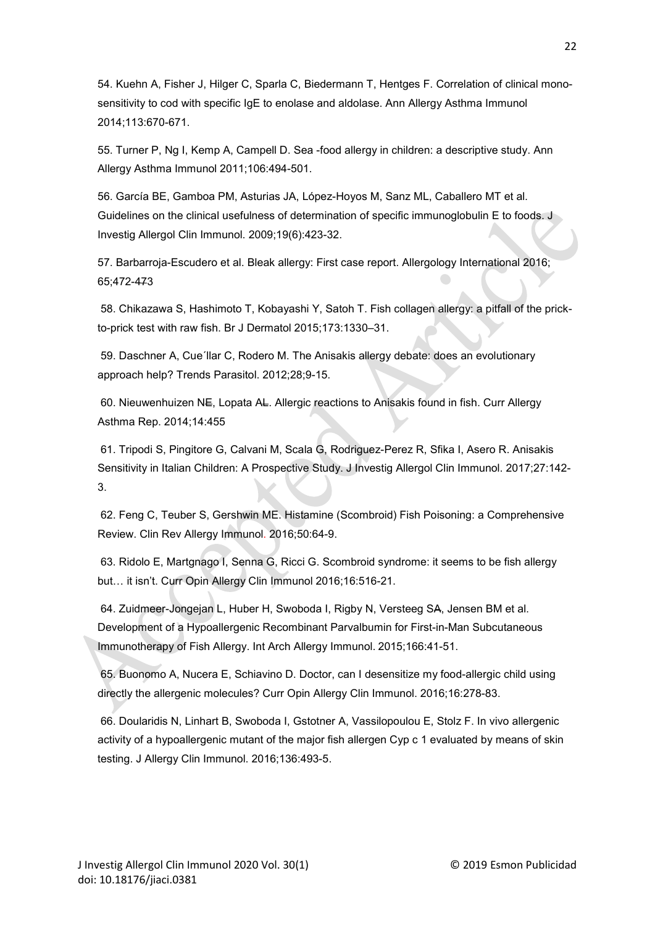54. Kuehn A, Fisher J, Hilger C, Sparla C, Biedermann T, Hentges F. Correlation of clinical monosensitivity to cod with specific IgE to enolase and aldolase. Ann Allergy Asthma Immunol 2014;113:670-671.

55. Turner P, Ng I, Kemp A, Campell D. Sea -food allergy in children: a descriptive study. Ann Allergy Asthma Immunol 2011;106:494-501.

56. García BE, Gamboa PM, Asturias JA, López-Hoyos M, Sanz ML, Caballero MT et al. Guidelines on the clinical usefulness of determination of specific immunoglobulin E to foods. J Investig Allergol Clin Immunol. 2009;19(6):423-32.

57. Barbarroja-Escudero et al. Bleak allergy: First case report. Allergology International 2016; 65;472-473

58. Chikazawa S, Hashimoto T, Kobayashi Y, Satoh T. Fish collagen allergy: a pitfall of the prickto-prick test with raw fish. Br J Dermatol 2015;173:1330–31.

59. Daschner A, Cue´llar C, Rodero M. The Anisakis allergy debate: does an evolutionary approach help? Trends Parasitol. 2012;28;9-15.

60. Nieuwenhuizen NE, Lopata AL. Allergic reactions to Anisakis found in fish. Curr Allergy Asthma Rep. 2014;14:455

61. Tripodi S, Pingitore G, Calvani M, Scala G, Rodriguez-Perez R, Sfika I, Asero R. Anisakis Sensitivity in Italian Children: A Prospective Study. J Investig Allergol Clin Immunol. 2017;27:142- 3.

62. Feng C, Teuber S, Gershwin ME. Histamine (Scombroid) Fish Poisoning: a Comprehensive Review. Clin Rev Allergy Immunol. 2016;50:64-9.

63. Ridolo E, Martgnago I, Senna G, Ricci G. Scombroid syndrome: it seems to be fish allergy but… it isn't. Curr Opin Allergy Clin Immunol 2016;16:516-21.

64. Zuidmeer-Jongejan L, Huber H, Swoboda I, Rigby N, Versteeg SA, Jensen BM et al. Development of a Hypoallergenic Recombinant Parvalbumin for First-in-Man Subcutaneous Immunotherapy of Fish Allergy. Int Arch Allergy Immunol. 2015;166:41-51.

65. Buonomo A, Nucera E, Schiavino D. Doctor, can I desensitize my food-allergic child using directly the allergenic molecules? Curr Opin Allergy Clin Immunol. 2016;16:278-83.

66. Doularidis N, Linhart B, Swoboda I, Gstotner A, Vassilopoulou E, Stolz F. In vivo allergenic activity of a hypoallergenic mutant of the major fish allergen Cyp c 1 evaluated by means of skin testing. J Allergy Clin Immunol. 2016;136:493-5.